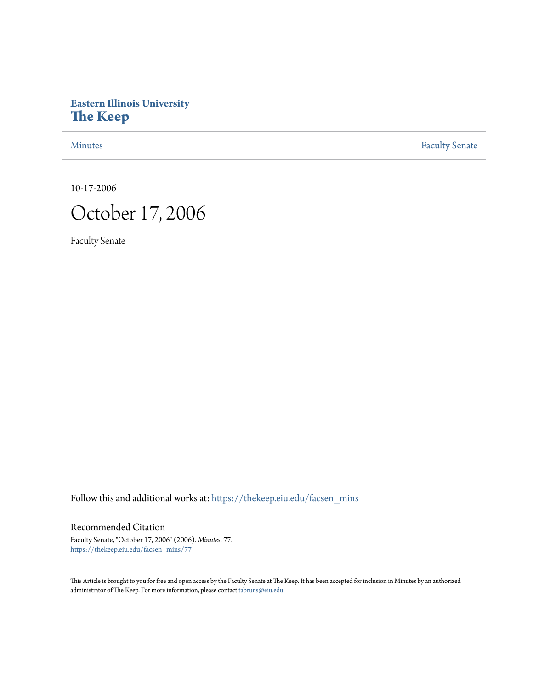# **Eastern Illinois University [The Keep](https://thekeep.eiu.edu?utm_source=thekeep.eiu.edu%2Ffacsen_mins%2F77&utm_medium=PDF&utm_campaign=PDFCoverPages)**

[Minutes](https://thekeep.eiu.edu/facsen_mins?utm_source=thekeep.eiu.edu%2Ffacsen_mins%2F77&utm_medium=PDF&utm_campaign=PDFCoverPages) **[Faculty Senate](https://thekeep.eiu.edu/fac_senate?utm_source=thekeep.eiu.edu%2Ffacsen_mins%2F77&utm_medium=PDF&utm_campaign=PDFCoverPages)** 

10-17-2006



Faculty Senate

Follow this and additional works at: [https://thekeep.eiu.edu/facsen\\_mins](https://thekeep.eiu.edu/facsen_mins?utm_source=thekeep.eiu.edu%2Ffacsen_mins%2F77&utm_medium=PDF&utm_campaign=PDFCoverPages)

Recommended Citation

Faculty Senate, "October 17, 2006" (2006). *Minutes*. 77. [https://thekeep.eiu.edu/facsen\\_mins/77](https://thekeep.eiu.edu/facsen_mins/77?utm_source=thekeep.eiu.edu%2Ffacsen_mins%2F77&utm_medium=PDF&utm_campaign=PDFCoverPages)

This Article is brought to you for free and open access by the Faculty Senate at The Keep. It has been accepted for inclusion in Minutes by an authorized administrator of The Keep. For more information, please contact [tabruns@eiu.edu.](mailto:tabruns@eiu.edu)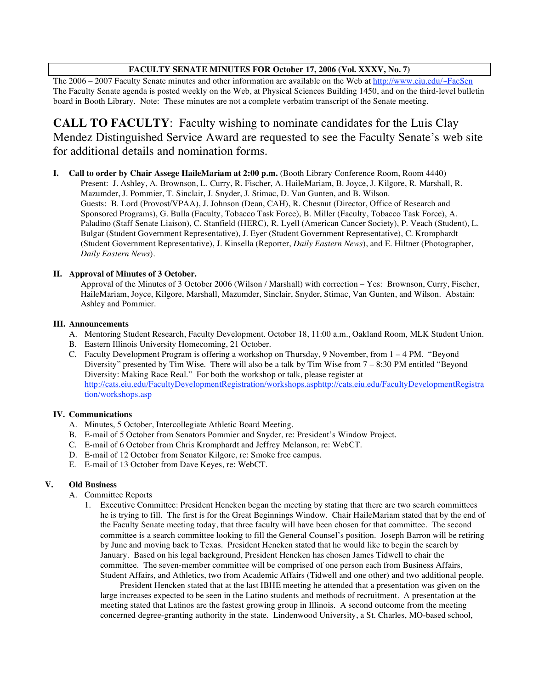# **FACULTY SENATE MINUTES FOR October 17, 2006 (Vol. XXXV, No. 7)**

The 2006 – 2007 Faculty Senate minutes and other information are available on the Web at http://www.eiu.edu/~FacSen The Faculty Senate agenda is posted weekly on the Web, at Physical Sciences Building 1450, and on the third-level bulletin board in Booth Library. Note: These minutes are not a complete verbatim transcript of the Senate meeting.

**CALL TO FACULTY**: Faculty wishing to nominate candidates for the Luis Clay Mendez Distinguished Service Award are requested to see the Faculty Senate's web site for additional details and nomination forms.

**I. Call to order by Chair Assege HaileMariam at 2:00 p.m.** (Booth Library Conference Room, Room 4440) Present: J. Ashley, A. Brownson, L. Curry, R. Fischer, A. HaileMariam, B. Joyce, J. Kilgore, R. Marshall, R. Mazumder, J. Pommier, T. Sinclair, J. Snyder, J. Stimac, D. Van Gunten, and B. Wilson. Guests: B. Lord (Provost/VPAA), J. Johnson (Dean, CAH), R. Chesnut (Director, Office of Research and Sponsored Programs), G. Bulla (Faculty, Tobacco Task Force), B. Miller (Faculty, Tobacco Task Force), A. Paladino (Staff Senate Liaison), C. Stanfield (HERC), R. Lyell (American Cancer Society), P. Veach (Student), L. Bulgar (Student Government Representative), J. Eyer (Student Government Representative), C. Kromphardt (Student Government Representative), J. Kinsella (Reporter, *Daily Eastern News*), and E. Hiltner (Photographer, *Daily Eastern News*).

# **II. Approval of Minutes of 3 October.**

Approval of the Minutes of 3 October 2006 (Wilson / Marshall) with correction – Yes: Brownson, Curry, Fischer, HaileMariam, Joyce, Kilgore, Marshall, Mazumder, Sinclair, Snyder, Stimac, Van Gunten, and Wilson. Abstain: Ashley and Pommier.

### **III. Announcements**

- A. Mentoring Student Research, Faculty Development. October 18, 11:00 a.m., Oakland Room, MLK Student Union.
- B. Eastern Illinois University Homecoming, 21 October.
- C. Faculty Development Program is offering a workshop on Thursday, 9 November, from 1 4 PM. "Beyond Diversity" presented by Tim Wise. There will also be a talk by Tim Wise from 7 – 8:30 PM entitled "Beyond Diversity: Making Race Real." For both the workshop or talk, please register at http://cats.eiu.edu/FacultyDevelopmentRegistration/workshops.asphttp://cats.eiu.edu/FacultyDevelopmentRegistra tion/workshops.asp

# **IV. Communications**

- A. Minutes, 5 October, Intercollegiate Athletic Board Meeting.
- B. E-mail of 5 October from Senators Pommier and Snyder, re: President's Window Project.
- C. E-mail of 6 October from Chris Kromphardt and Jeffrey Melanson, re: WebCT.
- D. E-mail of 12 October from Senator Kilgore, re: Smoke free campus.
- E. E-mail of 13 October from Dave Keyes, re: WebCT.

### **V. Old Business**

- A. Committee Reports
	- 1. Executive Committee: President Hencken began the meeting by stating that there are two search committees he is trying to fill. The first is for the Great Beginnings Window. Chair HaileMariam stated that by the end of the Faculty Senate meeting today, that three faculty will have been chosen for that committee. The second committee is a search committee looking to fill the General Counsel's position. Joseph Barron will be retiring by June and moving back to Texas. President Hencken stated that he would like to begin the search by January. Based on his legal background, President Hencken has chosen James Tidwell to chair the committee. The seven-member committee will be comprised of one person each from Business Affairs, Student Affairs, and Athletics, two from Academic Affairs (Tidwell and one other) and two additional people.

President Hencken stated that at the last IBHE meeting he attended that a presentation was given on the large increases expected to be seen in the Latino students and methods of recruitment. A presentation at the meeting stated that Latinos are the fastest growing group in Illinois. A second outcome from the meeting concerned degree-granting authority in the state. Lindenwood University, a St. Charles, MO-based school,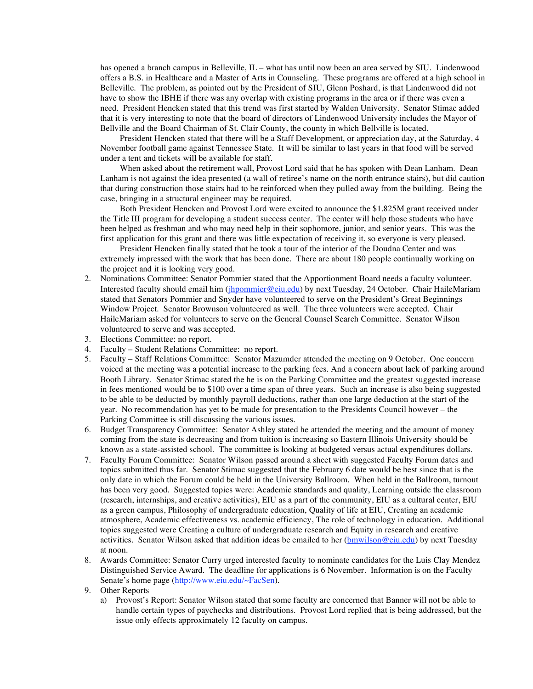has opened a branch campus in Belleville, IL – what has until now been an area served by SIU. Lindenwood offers a B.S. in Healthcare and a Master of Arts in Counseling. These programs are offered at a high school in Belleville. The problem, as pointed out by the President of SIU, Glenn Poshard, is that Lindenwood did not have to show the IBHE if there was any overlap with existing programs in the area or if there was even a need. President Hencken stated that this trend was first started by Walden University. Senator Stimac added that it is very interesting to note that the board of directors of Lindenwood University includes the Mayor of Bellville and the Board Chairman of St. Clair County, the county in which Bellville is located.

President Hencken stated that there will be a Staff Development, or appreciation day, at the Saturday, 4 November football game against Tennessee State. It will be similar to last years in that food will be served under a tent and tickets will be available for staff.

When asked about the retirement wall, Provost Lord said that he has spoken with Dean Lanham. Dean Lanham is not against the idea presented (a wall of retiree's name on the north entrance stairs), but did caution that during construction those stairs had to be reinforced when they pulled away from the building. Being the case, bringing in a structural engineer may be required.

Both President Hencken and Provost Lord were excited to announce the \$1.825M grant received under the Title III program for developing a student success center. The center will help those students who have been helped as freshman and who may need help in their sophomore, junior, and senior years. This was the first application for this grant and there was little expectation of receiving it, so everyone is very pleased.

President Hencken finally stated that he took a tour of the interior of the Doudna Center and was extremely impressed with the work that has been done. There are about 180 people continually working on the project and it is looking very good.

- 2. Nominations Committee: Senator Pommier stated that the Apportionment Board needs a faculty volunteer. Interested faculty should email him (jhpommier@eiu.edu) by next Tuesday, 24 October. Chair HaileMariam stated that Senators Pommier and Snyder have volunteered to serve on the President's Great Beginnings Window Project. Senator Brownson volunteered as well. The three volunteers were accepted. Chair HaileMariam asked for volunteers to serve on the General Counsel Search Committee. Senator Wilson volunteered to serve and was accepted.
- 3. Elections Committee: no report.
- 4. Faculty Student Relations Committee: no report.
- 5. Faculty Staff Relations Committee: Senator Mazumder attended the meeting on 9 October. One concern voiced at the meeting was a potential increase to the parking fees. And a concern about lack of parking around Booth Library. Senator Stimac stated the he is on the Parking Committee and the greatest suggested increase in fees mentioned would be to \$100 over a time span of three years. Such an increase is also being suggested to be able to be deducted by monthly payroll deductions, rather than one large deduction at the start of the year. No recommendation has yet to be made for presentation to the Presidents Council however – the Parking Committee is still discussing the various issues.
- 6. Budget Transparency Committee: Senator Ashley stated he attended the meeting and the amount of money coming from the state is decreasing and from tuition is increasing so Eastern Illinois University should be known as a state-assisted school. The committee is looking at budgeted versus actual expenditures dollars.
- 7. Faculty Forum Committee: Senator Wilson passed around a sheet with suggested Faculty Forum dates and topics submitted thus far. Senator Stimac suggested that the February 6 date would be best since that is the only date in which the Forum could be held in the University Ballroom. When held in the Ballroom, turnout has been very good. Suggested topics were: Academic standards and quality, Learning outside the classroom (research, internships, and creative activities), EIU as a part of the community, EIU as a cultural center, EIU as a green campus, Philosophy of undergraduate education, Quality of life at EIU, Creating an academic atmosphere, Academic effectiveness vs. academic efficiency, The role of technology in education. Additional topics suggested were Creating a culture of undergraduate research and Equity in research and creative activities. Senator Wilson asked that addition ideas be emailed to her (bmwilson@eiu.edu) by next Tuesday at noon.
- 8. Awards Committee: Senator Curry urged interested faculty to nominate candidates for the Luis Clay Mendez Distinguished Service Award. The deadline for applications is 6 November. Information is on the Faculty Senate's home page (http://www.eiu.edu/~FacSen).

a) Provost's Report: Senator Wilson stated that some faculty are concerned that Banner will not be able to handle certain types of paychecks and distributions. Provost Lord replied that is being addressed, but the issue only effects approximately 12 faculty on campus.

<sup>9.</sup> Other Reports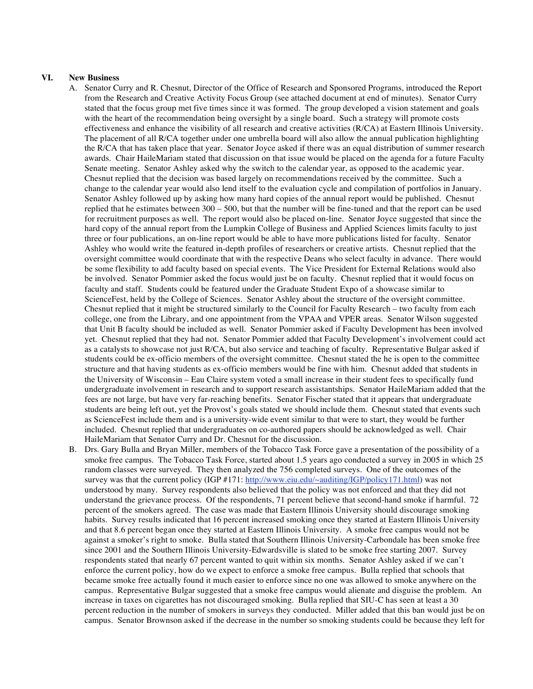## **VI. New Business**

- A. Senator Curry and R. Chesnut, Director of the Office of Research and Sponsored Programs, introduced the Report from the Research and Creative Activity Focus Group (see attached document at end of minutes). Senator Curry stated that the focus group met five times since it was formed. The group developed a vision statement and goals with the heart of the recommendation being oversight by a single board. Such a strategy will promote costs effectiveness and enhance the visibility of all research and creative activities (R/CA) at Eastern Illinois University. The placement of all R/CA together under one umbrella board will also allow the annual publication highlighting the R/CA that has taken place that year. Senator Joyce asked if there was an equal distribution of summer research awards. Chair HaileMariam stated that discussion on that issue would be placed on the agenda for a future Faculty Senate meeting. Senator Ashley asked why the switch to the calendar year, as opposed to the academic year. Chesnut replied that the decision was based largely on recommendations received by the committee. Such a change to the calendar year would also lend itself to the evaluation cycle and compilation of portfolios in January. Senator Ashley followed up by asking how many hard copies of the annual report would be published. Chesnut replied that he estimates between 300 – 500, but that the number will be fine-tuned and that the report can be used for recruitment purposes as well. The report would also be placed on-line. Senator Joyce suggested that since the hard copy of the annual report from the Lumpkin College of Business and Applied Sciences limits faculty to just three or four publications, an on-line report would be able to have more publications listed for faculty. Senator Ashley who would write the featured in-depth profiles of researchers or creative artists. Chesnut replied that the oversight committee would coordinate that with the respective Deans who select faculty in advance. There would be some flexibility to add faculty based on special events. The Vice President for External Relations would also be involved. Senator Pommier asked the focus would just be on faculty. Chesnut replied that it would focus on faculty and staff. Students could be featured under the Graduate Student Expo of a showcase similar to ScienceFest, held by the College of Sciences. Senator Ashley about the structure of the oversight committee. Chesnut replied that it might be structured similarly to the Council for Faculty Research – two faculty from each college, one from the Library, and one appointment from the VPAA and VPER areas. Senator Wilson suggested that Unit B faculty should be included as well. Senator Pommier asked if Faculty Development has been involved yet. Chesnut replied that they had not. Senator Pommier added that Faculty Development's involvement could act as a catalysts to showcase not just R/CA, but also service and teaching of faculty. Representative Bulgar asked if students could be ex-officio members of the oversight committee. Chesnut stated the he is open to the committee structure and that having students as ex-officio members would be fine with him. Chesnut added that students in the University of Wisconsin – Eau Claire system voted a small increase in their student fees to specifically fund undergraduate involvement in research and to support research assistantships. Senator HaileMariam added that the fees are not large, but have very far-reaching benefits. Senator Fischer stated that it appears that undergraduate students are being left out, yet the Provost's goals stated we should include them. Chesnut stated that events such as ScienceFest include them and is a university-wide event similar to that were to start, they would be further included. Chesnut replied that undergraduates on co-authored papers should be acknowledged as well. Chair HaileMariam that Senator Curry and Dr. Chesnut for the discussion.
- B. Drs. Gary Bulla and Bryan Miller, members of the Tobacco Task Force gave a presentation of the possibility of a smoke free campus. The Tobacco Task Force, started about 1.5 years ago conducted a survey in 2005 in which 25 random classes were surveyed. They then analyzed the 756 completed surveys. One of the outcomes of the survey was that the current policy (IGP #171: http://www.eiu.edu/~auditing/IGP/policy171.html) was not understood by many. Survey respondents also believed that the policy was not enforced and that they did not understand the grievance process. Of the respondents, 71 percent believe that second-hand smoke if harmful. 72 percent of the smokers agreed. The case was made that Eastern Illinois University should discourage smoking habits. Survey results indicated that 16 percent increased smoking once they started at Eastern Illinois University and that 8.6 percent began once they started at Eastern Illinois University. A smoke free campus would not be against a smoker's right to smoke. Bulla stated that Southern Illinois University-Carbondale has been smoke free since 2001 and the Southern Illinois University-Edwardsville is slated to be smoke free starting 2007. Survey respondents stated that nearly 67 percent wanted to quit within six months. Senator Ashley asked if we can't enforce the current policy, how do we expect to enforce a smoke free campus. Bulla replied that schools that became smoke free actually found it much easier to enforce since no one was allowed to smoke anywhere on the campus. Representative Bulgar suggested that a smoke free campus would alienate and disguise the problem. An increase in taxes on cigarettes has not discouraged smoking. Bulla replied that SIU-C has seen at least a 30 percent reduction in the number of smokers in surveys they conducted. Miller added that this ban would just be on campus. Senator Brownson asked if the decrease in the number so smoking students could be because they left for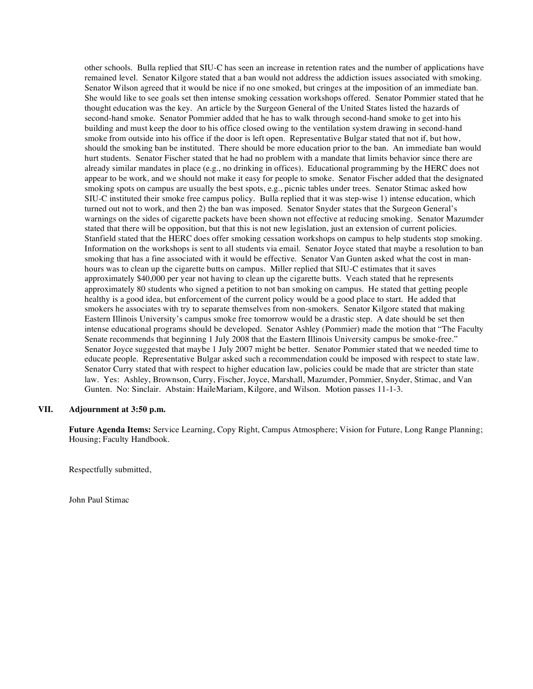other schools. Bulla replied that SIU-C has seen an increase in retention rates and the number of applications have remained level. Senator Kilgore stated that a ban would not address the addiction issues associated with smoking. Senator Wilson agreed that it would be nice if no one smoked, but cringes at the imposition of an immediate ban. She would like to see goals set then intense smoking cessation workshops offered. Senator Pommier stated that he thought education was the key. An article by the Surgeon General of the United States listed the hazards of second-hand smoke. Senator Pommier added that he has to walk through second-hand smoke to get into his building and must keep the door to his office closed owing to the ventilation system drawing in second-hand smoke from outside into his office if the door is left open. Representative Bulgar stated that not if, but how, should the smoking ban be instituted. There should be more education prior to the ban. An immediate ban would hurt students. Senator Fischer stated that he had no problem with a mandate that limits behavior since there are already similar mandates in place (e.g., no drinking in offices). Educational programming by the HERC does not appear to be work, and we should not make it easy for people to smoke. Senator Fischer added that the designated smoking spots on campus are usually the best spots, e.g., picnic tables under trees. Senator Stimac asked how SIU-C instituted their smoke free campus policy. Bulla replied that it was step-wise 1) intense education, which turned out not to work, and then 2) the ban was imposed. Senator Snyder states that the Surgeon General's warnings on the sides of cigarette packets have been shown not effective at reducing smoking. Senator Mazumder stated that there will be opposition, but that this is not new legislation, just an extension of current policies. Stanfield stated that the HERC does offer smoking cessation workshops on campus to help students stop smoking. Information on the workshops is sent to all students via email. Senator Joyce stated that maybe a resolution to ban smoking that has a fine associated with it would be effective. Senator Van Gunten asked what the cost in manhours was to clean up the cigarette butts on campus. Miller replied that SIU-C estimates that it saves approximately \$40,000 per year not having to clean up the cigarette butts. Veach stated that he represents approximately 80 students who signed a petition to not ban smoking on campus. He stated that getting people healthy is a good idea, but enforcement of the current policy would be a good place to start. He added that smokers he associates with try to separate themselves from non-smokers. Senator Kilgore stated that making Eastern Illinois University's campus smoke free tomorrow would be a drastic step. A date should be set then intense educational programs should be developed. Senator Ashley (Pommier) made the motion that "The Faculty Senate recommends that beginning 1 July 2008 that the Eastern Illinois University campus be smoke-free." Senator Joyce suggested that maybe 1 July 2007 might be better. Senator Pommier stated that we needed time to educate people. Representative Bulgar asked such a recommendation could be imposed with respect to state law. Senator Curry stated that with respect to higher education law, policies could be made that are stricter than state law. Yes: Ashley, Brownson, Curry, Fischer, Joyce, Marshall, Mazumder, Pommier, Snyder, Stimac, and Van Gunten. No: Sinclair. Abstain: HaileMariam, Kilgore, and Wilson. Motion passes 11-1-3.

### **VII. Adjournment at 3:50 p.m.**

**Future Agenda Items:** Service Learning, Copy Right, Campus Atmosphere; Vision for Future, Long Range Planning; Housing; Faculty Handbook.

Respectfully submitted,

John Paul Stimac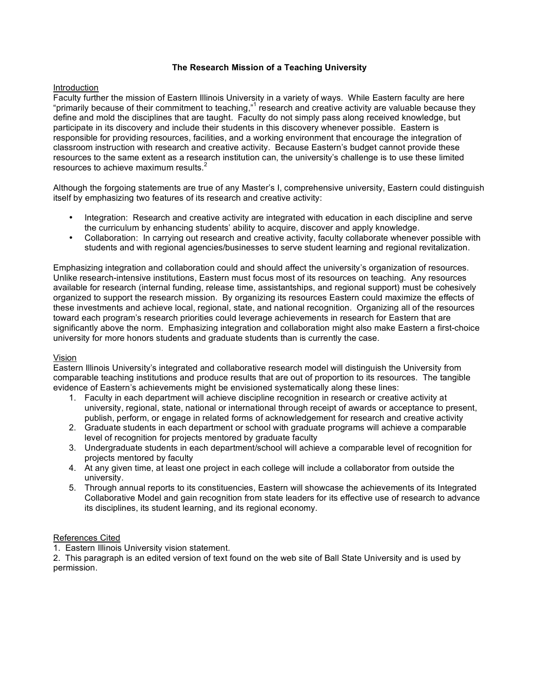# **The Research Mission of a Teaching University**

# Introduction

Faculty further the mission of Eastern Illinois University in a variety of ways. While Eastern faculty are here "primarily because of their commitment to teaching,"<sup>1</sup> research and creative activity are valuable because they define and mold the disciplines that are taught. Faculty do not simply pass along received knowledge, but participate in its discovery and include their students in this discovery whenever possible. Eastern is responsible for providing resources, facilities, and a working environment that encourage the integration of classroom instruction with research and creative activity. Because Eastern's budget cannot provide these resources to the same extent as a research institution can, the university's challenge is to use these limited resources to achieve maximum results. $^{2}$ 

Although the forgoing statements are true of any Master's I, comprehensive university, Eastern could distinguish itself by emphasizing two features of its research and creative activity:

- Integration: Research and creative activity are integrated with education in each discipline and serve the curriculum by enhancing students' ability to acquire, discover and apply knowledge.
- Collaboration: In carrying out research and creative activity, faculty collaborate whenever possible with students and with regional agencies/businesses to serve student learning and regional revitalization.

Emphasizing integration and collaboration could and should affect the university's organization of resources. Unlike research-intensive institutions, Eastern must focus most of its resources on teaching. Any resources available for research (internal funding, release time, assistantships, and regional support) must be cohesively organized to support the research mission. By organizing its resources Eastern could maximize the effects of these investments and achieve local, regional, state, and national recognition. Organizing all of the resources toward each program's research priorities could leverage achievements in research for Eastern that are significantly above the norm. Emphasizing integration and collaboration might also make Eastern a first-choice university for more honors students and graduate students than is currently the case.

# Vision

Eastern Illinois University's integrated and collaborative research model will distinguish the University from comparable teaching institutions and produce results that are out of proportion to its resources. The tangible evidence of Eastern's achievements might be envisioned systematically along these lines:

- 1. Faculty in each department will achieve discipline recognition in research or creative activity at university, regional, state, national or international through receipt of awards or acceptance to present, publish, perform, or engage in related forms of acknowledgement for research and creative activity
- 2. Graduate students in each department or school with graduate programs will achieve a comparable level of recognition for projects mentored by graduate faculty
- 3. Undergraduate students in each department/school will achieve a comparable level of recognition for projects mentored by faculty
- 4. At any given time, at least one project in each college will include a collaborator from outside the university.
- 5. Through annual reports to its constituencies, Eastern will showcase the achievements of its Integrated Collaborative Model and gain recognition from state leaders for its effective use of research to advance its disciplines, its student learning, and its regional economy.

# References Cited

1. Eastern Illinois University vision statement.

2. This paragraph is an edited version of text found on the web site of Ball State University and is used by permission.